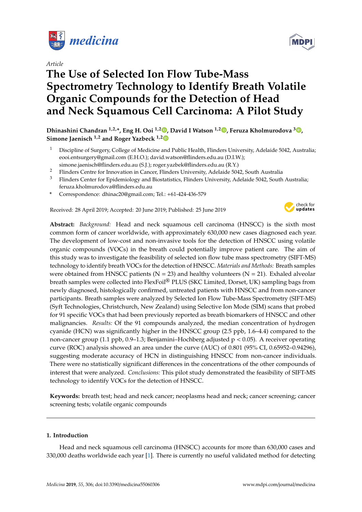

*Article*

# **The Use of Selected Ion Flow Tube-Mass Spectrometry Technology to Identify Breath Volatile Organic Compounds for the Detection of Head and Neck Squamous Cell Carcinoma: A Pilot Study**



**Dhinashini Chandran 1,2,\*, Eng H. Ooi 1,2 [,](https://orcid.org/0000-0002-7201-815X) David I Watson 1,2 [,](https://orcid.org/0000-0002-7683-2693) Feruza Kholmurodova <sup>3</sup> [,](https://orcid.org/0000-0002-5953-5881) Simone Jaenisch 1,2 and Roger Yazbeck 1,[2](https://orcid.org/0000-0002-1038-4998)**

- <sup>1</sup> Discipline of Surgery, College of Medicine and Public Health, Flinders University, Adelaide 5042, Australia; eooi.entsurgery@gmail.com (E.H.O.); david.watson@flinders.edu.au (D.I.W.); simone.jaenisch@flinders.edu.au (S.J.); roger.yazbek@flinders.edu.au (R.Y.)
- <sup>2</sup> Flinders Centre for Innovation in Cancer, Flinders University, Adelaide 5042, South Australia
- <sup>3</sup> Flinders Center for Epidemiology and Biostatistics, Flinders University, Adelaide 5042, South Australia; feruza.kholmurodova@flinders.edu.au
- **\*** Correspondence: dhinac20@gmail.com; Tel.: +61-424-436-579

Received: 28 April 2019; Accepted: 20 June 2019; Published: 25 June 2019



**Abstract:** *Background:* Head and neck squamous cell carcinoma (HNSCC) is the sixth most common form of cancer worldwide, with approximately 630,000 new cases diagnosed each year. The development of low-cost and non-invasive tools for the detection of HNSCC using volatile organic compounds (VOCs) in the breath could potentially improve patient care. The aim of this study was to investigate the feasibility of selected ion flow tube mass spectrometry (SIFT-MS) technology to identify breath VOCs for the detection of HNSCC. *Materials and Methods:* Breath samples were obtained from HNSCC patients ( $N = 23$ ) and healthy volunteers ( $N = 21$ ). Exhaled alveolar breath samples were collected into FlexFoil® PLUS (SKC Limited, Dorset, UK) sampling bags from newly diagnosed, histologically confirmed, untreated patients with HNSCC and from non-cancer participants. Breath samples were analyzed by Selected Ion Flow Tube-Mass Spectrometry (SIFT-MS) (Syft Technologies, Christchurch, New Zealand) using Selective Ion Mode (SIM) scans that probed for 91 specific VOCs that had been previously reported as breath biomarkers of HNSCC and other malignancies. *Results:* Of the 91 compounds analyzed, the median concentration of hydrogen cyanide (HCN) was significantly higher in the HNSCC group (2.5 ppb, 1.6–4.4) compared to the non-cancer group (1.1 ppb, 0.9–1.3; Benjamini–Hochberg adjusted  $p < 0.05$ ). A receiver operating curve (ROC) analysis showed an area under the curve (AUC) of 0.801 (95% CI, 0.65952–0.94296), suggesting moderate accuracy of HCN in distinguishing HNSCC from non-cancer individuals. There were no statistically significant differences in the concentrations of the other compounds of interest that were analyzed. *Conclusions:* This pilot study demonstrated the feasibility of SIFT-MS technology to identify VOCs for the detection of HNSCC.

**Keywords:** breath test; head and neck cancer; neoplasms head and neck; cancer screening; cancer screening tests; volatile organic compounds

# **1. Introduction**

Head and neck squamous cell carcinoma (HNSCC) accounts for more than 630,000 cases and 330,000 deaths worldwide each year [\[1\]](#page-7-0). There is currently no useful validated method for detecting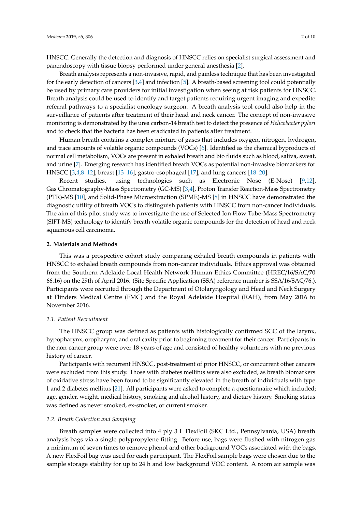HNSCC. Generally the detection and diagnosis of HNSCC relies on specialist surgical assessment and panendoscopy with tissue biopsy performed under general anesthesia [\[2\]](#page-7-1).

Breath analysis represents a non-invasive, rapid, and painless technique that has been investigated for the early detection of cancers [\[3](#page-7-2)[,4\]](#page-7-3) and infection [\[5\]](#page-7-4). A breath-based screening tool could potentially be used by primary care providers for initial investigation when seeing at risk patients for HNSCC. Breath analysis could be used to identify and target patients requiring urgent imaging and expedite referral pathways to a specialist oncology surgeon. A breath analysis tool could also help in the surveillance of patients after treatment of their head and neck cancer. The concept of non-invasive monitoring is demonstrated by the urea carbon-14 breath test to detect the presence of *Helicobacter pylori* and to check that the bacteria has been eradicated in patients after treatment.

Human breath contains a complex mixture of gases that includes oxygen, nitrogen, hydrogen, and trace amounts of volatile organic compounds (VOCs) [\[6\]](#page-7-5). Identified as the chemical byproducts of normal cell metabolism, VOCs are present in exhaled breath and bio fluids such as blood, saliva, sweat, and urine [\[7\]](#page-8-0). Emerging research has identified breath VOCs as potential non-invasive biomarkers for HNSCC [\[3,](#page-7-2)[4,](#page-7-3)[8](#page-8-1)[–12\]](#page-8-2), breast [\[13–](#page-8-3)[16\]](#page-8-4), gastro-esophageal [\[17\]](#page-8-5), and lung cancers [\[18](#page-8-6)[–20\]](#page-8-7).

Recent studies, using technologies such as Electronic Nose (E-Nose) [\[9,](#page-8-8)[12\]](#page-8-2), Gas Chromatography-Mass Spectrometry (GC-MS) [\[3](#page-7-2)[,4\]](#page-7-3), Proton Transfer Reaction-Mass Spectrometry (PTR)-MS [\[10\]](#page-8-9), and Solid-Phase Microextraction (SPME)-MS [\[8\]](#page-8-1) in HNSCC have demonstrated the diagnostic utility of breath VOCs to distinguish patients with HNSCC from non-cancer individuals. The aim of this pilot study was to investigate the use of Selected Ion Flow Tube-Mass Spectrometry (SIFT-MS) technology to identify breath volatile organic compounds for the detection of head and neck squamous cell carcinoma.

## **2. Materials and Methods**

This was a prospective cohort study comparing exhaled breath compounds in patients with HNSCC to exhaled breath compounds from non-cancer individuals. Ethics approval was obtained from the Southern Adelaide Local Health Network Human Ethics Committee (HREC/16/SAC/70 66.16) on the 29th of April 2016. (Site Specific Application (SSA) reference number is SSA/16/SAC/76.). Participants were recruited through the Department of Otolaryngology and Head and Neck Surgery at Flinders Medical Centre (FMC) and the Royal Adelaide Hospital (RAH), from May 2016 to November 2016.

## *2.1. Patient Recruitment*

The HNSCC group was defined as patients with histologically confirmed SCC of the larynx, hypopharynx, oropharynx, and oral cavity prior to beginning treatment for their cancer. Participants in the non-cancer group were over 18 years of age and consisted of healthy volunteers with no previous history of cancer.

Participants with recurrent HNSCC, post-treatment of prior HNSCC, or concurrent other cancers were excluded from this study. Those with diabetes mellitus were also excluded, as breath biomarkers of oxidative stress have been found to be significantly elevated in the breath of individuals with type 1 and 2 diabetes mellitus [\[21\]](#page-8-10). All participants were asked to complete a questionnaire which included; age, gender, weight, medical history, smoking and alcohol history, and dietary history. Smoking status was defined as never smoked, ex-smoker, or current smoker.

#### *2.2. Breath Collection and Sampling*

Breath samples were collected into 4 ply 3 L FlexFoil (SKC Ltd., Pennsylvania, USA) breath analysis bags via a single polypropylene fitting. Before use, bags were flushed with nitrogen gas a minimum of seven times to remove phenol and other background VOCs associated with the bags. A new FlexFoil bag was used for each participant. The FlexFoil sample bags were chosen due to the sample storage stability for up to 24 h and low background VOC content. A room air sample was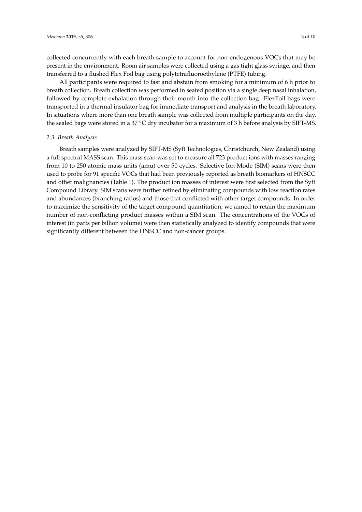collected concurrently with each breath sample to account for non-endogenous VOCs that may be present in the environment. Room air samples were collected using a gas tight glass syringe, and then transferred to a flushed Flex Foil bag using polytetrafluoroethylene (PTFE) tubing.

All participants were required to fast and abstain from smoking for a minimum of 6 h prior to breath collection. Breath collection was performed in seated position via a single deep nasal inhalation, followed by complete exhalation through their mouth into the collection bag. FlexFoil bags were transported in a thermal insulator bag for immediate transport and analysis in the breath laboratory. In situations where more than one breath sample was collected from multiple participants on the day, the sealed bags were stored in a 37 ◦C dry incubator for a maximum of 3 h before analysis by SIFT-MS.

# *2.3. Breath Analysis*

Breath samples were analyzed by SIFT-MS (Syft Technologies, Christchurch, New Zealand) using a full spectral MASS scan. This mass scan was set to measure all 723 product ions with masses ranging from 10 to 250 atomic mass units (amu) over 50 cycles. Selective Ion Mode (SIM) scans were then used to probe for 91 specific VOCs that had been previously reported as breath biomarkers of HNSCC and other malignancies (Table [1\)](#page-3-0). The product ion masses of interest were first selected from the Syft Compound Library. SIM scans were further refined by eliminating compounds with low reaction rates and abundances (branching ratios) and those that conflicted with other target compounds. In order to maximize the sensitivity of the target compound quantitation, we aimed to retain the maximum number of non-conflicting product masses within a SIM scan. The concentrations of the VOCs of interest (in parts per billion volume) were then statistically analyzed to identify compounds that were significantly different between the HNSCC and non-cancer groups.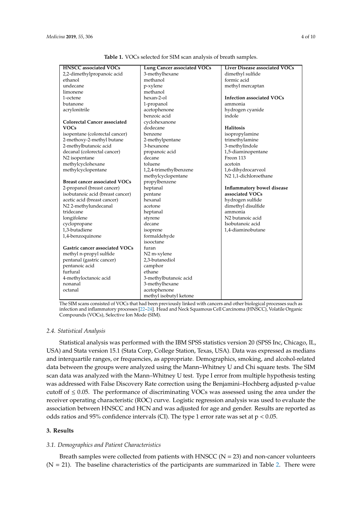<span id="page-3-0"></span>

| <b>HNSCC</b> associated VOCs         | Lung Cancer associated VOCs | Liver Disease associated VOCs    |  |
|--------------------------------------|-----------------------------|----------------------------------|--|
| 2,2-dimethylpropanoic acid           | 3-methylhexane              | dimethyl sulfide                 |  |
| ethanol                              | methanol                    | formic acid                      |  |
| undecane                             | p-xylene                    | methyl mercaptan                 |  |
| limonene                             | methanol                    |                                  |  |
| 1-octene                             | hexan-2-ol                  | <b>Infection associated VOCs</b> |  |
| butanone                             | 1-propanol                  | ammonia                          |  |
| acrylonitrile                        | acetophenone                | hydrogen cyanide                 |  |
|                                      | benzoic acid                | indole                           |  |
| <b>Colorectal Cancer associated</b>  | cyclohexanone               |                                  |  |
| <b>VOCs</b>                          | dodecane                    | <b>Halitosis</b>                 |  |
| isopentane (colorectal cancer)       | benzene                     | isopropylamine                   |  |
| 2-methoxy-2-methyl butane            | 2-methylpentane             | trimethylamine                   |  |
| 2-methylbutanoic acid                | 3-hexanone                  | 3-methylindole                   |  |
| decanal (colorectal cancer)          | propanoic acid              | 1,5-diaminopentane               |  |
| N2 isopentane                        | decane                      | Freon 113                        |  |
| methylcyclohexane                    | toluene                     | acetoin                          |  |
| methylcyclopentane                   | 1,2,4-trimethylbenzene      | 1,6-dihydrocarveol               |  |
|                                      | methylcyclopentane          | N2 1,1-dichloroethane            |  |
| <b>Breast cancer associated VOCs</b> | propylbenzene               |                                  |  |
| 2-propanol (breast cancer)           | heptanal                    | Inflammatory bowel disease       |  |
| isobutanoic acid (breast cancer)     | pentane                     | associated VOCs                  |  |
| acetic acid (breast cancer)          | hexanal                     | hydrogen sulfide                 |  |
| N22-methylundecanal                  | acetone                     | dimethyl disulfide               |  |
| tridecane                            | heptanal                    | ammonia                          |  |
| longifolene                          | styrene                     | N2 butanoic acid                 |  |
| cyclopropane                         | decane                      | Isobutanoic acid                 |  |
| 1,3-butadiene                        | isoprene                    | 1,4-diaminobutane                |  |
| 1,4-benzoquinone                     | formaldehyde                |                                  |  |
|                                      | isooctane                   |                                  |  |
| Gastric cancer associated VOCs       | furan                       |                                  |  |
| methyl n-propyl sulfide              | N2 m-xylene                 |                                  |  |
| pentanal (gastric cancer)            | 2,3-butanediol              |                                  |  |
| pentanoic acid                       | camphor                     |                                  |  |
| furfural                             | ethane                      |                                  |  |
| 4-methyloctanoic acid                | 3-methylbutanoic acid       |                                  |  |
| nonanal                              | 3-methylhexane              |                                  |  |
| octanal                              | acetophenone                |                                  |  |
|                                      | methyl isobutyl ketone      |                                  |  |

**Table 1.** VOCs selected for SIM scan analysis of breath samples.

The SIM scans consisted of VOCs that had been previously linked with cancers and other biological processes such as infection and inflammatory processes [\[22](#page-8-11)[–24\]](#page-8-12). Head and Neck Squamous Cell Carcinoma (HNSCC), Volatile Organic Compounds (VOCs), Selective Ion Mode (SIM).

## *2.4. Statistical Analysis*

Statistical analysis was performed with the IBM SPSS statistics version 20 (SPSS Inc, Chicago, IL, USA) and Stata version 15.1 (Stata Corp, College Station, Texas, USA). Data was expressed as medians and interquartile ranges, or frequencies, as appropriate. Demographics, smoking, and alcohol-related data between the groups were analyzed using the Mann–Whitney U and Chi square tests. The SIM scan data was analyzed with the Mann–Whitney U test. Type I error from multiple hypothesis testing was addressed with False Discovery Rate correction using the Benjamini–Hochberg adjusted p-value cutoff of  $\leq 0.05$ . The performance of discriminating VOCs was assessed using the area under the receiver operating characteristic (ROC) curve. Logistic regression analysis was used to evaluate the association between HNSCC and HCN and was adjusted for age and gender. Results are reported as odds ratios and 95% confidence intervals (CI). The type 1 error rate was set at  $p < 0.05$ .

## **3. Results**

## *3.1. Demographics and Patient Characteristics*

Breath samples were collected from patients with HNSCC ( $N = 23$ ) and non-cancer volunteers  $(N = 21)$ . The baseline characteristics of the participants are summarized in Table [2.](#page-4-0) There were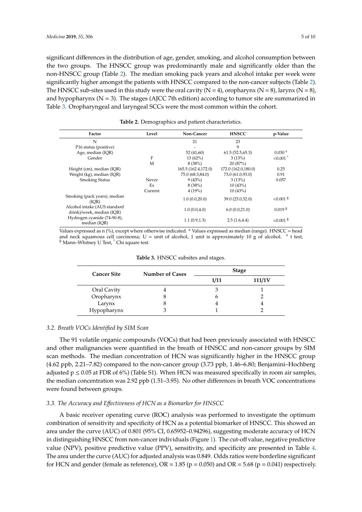significant differences in the distribution of age, gender, smoking, and alcohol consumption between the two groups. The HNSCC group was predominantly male and significantly older than the non-HNSCC group (Table [2\)](#page-4-0). The median smoking pack years and alcohol intake per week were significantly higher amongst the patients with HNSCC compared to the non-cancer subjects (Table [2\)](#page-4-0). The HNSCC sub-sites used in this study were the oral cavity  $(N = 4)$ , oropharynx  $(N = 8)$ , larynx  $(N = 8)$ , and hypopharynx  $(N = 3)$ . The stages (AJCC 7th edition) according to tumor site are summarized in Table [3.](#page-4-1) Oropharyngeal and laryngeal SCCs were the most common within the cohort.

<span id="page-4-0"></span>

| Factor                                                    | Level   | Non-Cancer          | <b>HNSCC</b>        | p-Value                 |
|-----------------------------------------------------------|---------|---------------------|---------------------|-------------------------|
| N                                                         |         | 21                  | 23                  |                         |
| P16 status (positive)                                     |         | ٠                   | 9                   |                         |
| Age, median (IQR)                                         |         | 52 (41,60)          | 61.5(52.5,65.3)     | $0.030 +$               |
| Gender                                                    | F       | $13(62\%)$          | 3(13%)              | $< 0.001$ <sup>*</sup>  |
|                                                           | M       | 8(38%)              | 20(87%)             |                         |
| Height (cm), median (IQR)                                 |         | 165.5 (162.4,172.0) | 172.0 (162.0,180.0) | 0.25                    |
| Weight (kg), median (IQR)                                 |         | 75.0 (68.3,84.0)    | 73.0 (61.0,93.0)    | 0.91                    |
| <b>Smoking Status</b>                                     | Never   | 9(43%)              | 3(13%)              | 0.057                   |
|                                                           | Ex      | 8(38%)              | 10(43%)             |                         |
|                                                           | Current | 4(19%)              | 10(43%)             |                         |
| Smoking (pack years), median<br>(IOR)                     |         | 1.0(0.0, 20.0)      | 39.0 (25.0,52.0)    | ${<}0.001$ <sup>§</sup> |
| Alcohol intake (AUS standard<br>drink)/week, median (IOR) |         | 1.0(0.0.4.0)        | 6.0(0.0,21.0)       | $0.019$ <sup>§</sup>    |
| Hydrogen cyanide (74-90-8),<br>median (IOR)               |         | 1.1(0.9, 1.3)       | 2.5(1.6.4.4)        | ${<}0.001$ <sup>§</sup> |

**Table 2.** Demographics and patient characteristics.

<span id="page-4-1"></span>Values expressed as n (%), except where otherwise indicated. <sup>a</sup> Values expressed as median (range). HNSCC = head and neck squamous cell carcinoma; U = unit of alcohol, 1 unit is approximately 10 g of alcohol. <sup>+</sup> t test, § Mann–Whitney U Test, \* Chi square test.

| <b>Cancer Site</b> | <b>Number of Cases</b> |      | <b>Stage</b> |
|--------------------|------------------------|------|--------------|
|                    |                        | 1/11 | 111/1V       |
| Oral Cavity        |                        | 3    |              |
| Oropharynx         |                        | O    |              |
| Larynx             |                        |      |              |
| Hypopharynx        |                        |      |              |

**Table 3.** HNSCC subsites and stages.

## *3.2. Breath VOCs Identified by SIM Scan*

The 91 volatile organic compounds (VOCs) that had been previously associated with HNSCC and other malignancies were quantified in the breath of HNSCC and non-cancer groups by SIM scan methods. The median concentration of HCN was significantly higher in the HNSCC group (4.62 ppb, 2.21–7.82) compared to the non-cancer group (3.73 ppb, 1.46–6.80; Benjamini–Hochberg adjusted  $p \le 0.05$  at FDR of 6%) (Table S1). When HCN was measured specifically in room air samples, the median concentration was 2.92 ppb (1.51–3.95). No other differences in breath VOC concentrations were found between groups.

# *3.3. The Accuracy and E*ff*ectiveness of HCN as a Biomarker for HNSCC*

A basic receiver operating curve (ROC) analysis was performed to investigate the optimum combination of sensitivity and specificity of HCN as a potential biomarker of HNSCC. This showed an area under the curve (AUC) of 0.801 (95% CI, 0.65952–0.94296), suggesting moderate accuracy of HCN in distinguishing HNSCC from non-cancer individuals (Figure [1\)](#page-5-0). The cut-off value, negative predictive value (NPV), positive predictive value (PPV), sensitivity, and specificity are presented in Table [4.](#page-5-1) The area under the curve (AUC) for adjusted analysis was 0.849. Odds ratios were borderline significant for HCN and gender (female as reference),  $OR = 1.85$  ( $p = 0.050$ ) and  $OR = 5.68$  ( $p = 0.041$ ) respectively.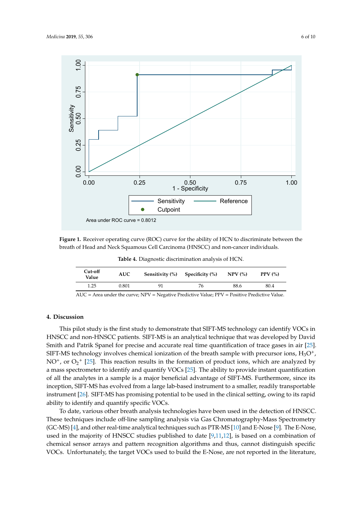<span id="page-5-0"></span>

<span id="page-5-1"></span>**Figure 1.** Receiver operating curve **(**ROC) curve for the ability of HCN to discriminate between the **Figure 1.** Receiver operating curve (ROC) curve for the ability of HCN to discriminate between the breath of Head and Neck Squamous Cell Carcinoma (HNSCC) and non-cancer individuals. breath of Head and Neck Squamous Cell Carcinoma (HNSCC) and non-cancer individuals.

**Table 4.** Diagnostic discrimination analysis of HCN.

| Cut-off<br>Value | <b>AUC</b> | Sensitivity (%) | Specificity (%) | $NPV$ (%) | PPV $(\% )$ |
|------------------|------------|-----------------|-----------------|-----------|-------------|
| 1.25             | 0.801      | 91              | 76              | 88.6      | 80.4        |

AUC = Area under the curve; NPV = Negative Predictive Value; PPV = Positive Predictive Value.

# **4. Discussion**

This pilot study is the first study to demonstrate that SIFT-MS technology can identify VOCs in HNSCC and non-HNSCC patients. SIFT-MS is an analytical technique that was developed by David Smith and Patrik Spanel for precise and accurate real time quantification of trace gases in air [\[25\]](#page-8-13). SIFT-MS technology involves chemical ionization of the breath sample with precursor ions,  $H_3O^+$ ,  $NO<sup>+</sup>$ , or  $O_2<sup>+</sup>$  [\[25\]](#page-8-13). This reaction results in the formation of product ions, which are analyzed by a mass spectrometer to identify and quantify VOCs [\[25\]](#page-8-13). The ability to provide instant quantification of all the analytes in a sample is a major beneficial advantage of SIFT-MS. Furthermore, since its inception, SIFT-MS has evolved from a large lab-based instrument to a smaller, readily transportable instrument [\[26\]](#page-8-14). SIFT-MS has promising potential to be used in the clinical setting, owing to its rapid ability to identify and quantify specific VOCs.

To date, various other breath analysis technologies have been used in the detection of HNSCC. These techniques include off-line sampling analysis via Gas Chromatography-Mass Spectrometry (GC-MS) [\[4\]](#page-7-3), and other real-time analytical techniques such as PTR-MS [\[10\]](#page-8-9) and E-Nose [\[9\]](#page-8-8). The E-Nose, used in the majority of HNSCC studies published to date  $[9,11,12]$  $[9,11,12]$  $[9,11,12]$ , is based on a combination of chemical sensor arrays and pattern recognition algorithms and thus, cannot distinguish specific VOCs. Unfortunately, the target VOCs used to build the E-Nose, are not reported in the literature,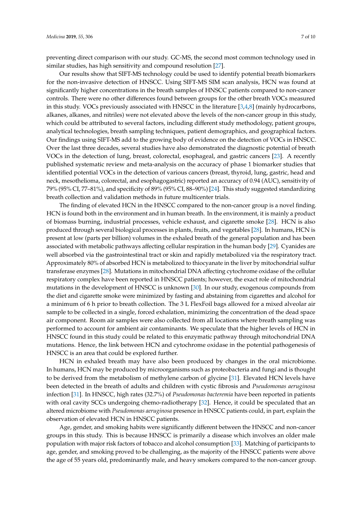preventing direct comparison with our study. GC-MS, the second most common technology used in similar studies, has high sensitivity and compound resolution [\[27\]](#page-8-16).

Our results show that SIFT-MS technology could be used to identify potential breath biomarkers for the non-invasive detection of HNSCC. Using SIFT-MS SIM scan analysis, HCN was found at significantly higher concentrations in the breath samples of HNSCC patients compared to non-cancer controls. There were no other differences found between groups for the other breath VOCs measured in this study. VOCs previously associated with HNSCC in the literature  $[3,4,8]$  $[3,4,8]$  $[3,4,8]$  (mainly hydrocarbons, alkanes, alkanes, and nitriles) were not elevated above the levels of the non-cancer group in this study, which could be attributed to several factors, including different study methodology, patient groups, analytical technologies, breath sampling techniques, patient demographics, and geographical factors. Our findings using SIFT-MS add to the growing body of evidence on the detection of VOCs in HNSCC. Over the last three decades, several studies have also demonstrated the diagnostic potential of breath VOCs in the detection of lung, breast, colorectal, esophageal, and gastric cancers [\[23\]](#page-8-17). A recently published systematic review and meta-analysis on the accuracy of phase 1 biomarker studies that identified potential VOCs in the detection of various cancers (breast, thyroid, lung, gastric, head and neck, mesothelioma, colorectal, and esophagogastric) reported an accuracy of 0.94 (AUC), sensitivity of 79% (95% CI, 77–81%), and specificity of 89% (95% CI, 88–90%) [\[24\]](#page-8-12). This study suggested standardizing breath collection and validation methods in future multicenter trials.

The finding of elevated HCN in the HNSCC compared to the non-cancer group is a novel finding. HCN is found both in the environment and in human breath. In the environment, it is mainly a product of biomass burning, industrial processes, vehicle exhaust, and cigarette smoke [\[28\]](#page-9-0). HCN is also produced through several biological processes in plants, fruits, and vegetables [\[28\]](#page-9-0). In humans, HCN is present at low (parts per billion) volumes in the exhaled breath of the general population and has been associated with metabolic pathways affecting cellular respiration in the human body [\[29\]](#page-9-1). Cyanides are well absorbed via the gastrointestinal tract or skin and rapidly metabolized via the respiratory tract. Approximately 80% of absorbed HCN is metabolized to thiocyanate in the liver by mitochondrial sulfur transferase enzymes [\[28\]](#page-9-0). Mutations in mitochondrial DNA affecting cytochrome oxidase of the cellular respiratory complex have been reported in HNSCC patients; however, the exact role of mitochondrial mutations in the development of HNSCC is unknown [\[30\]](#page-9-2). In our study, exogenous compounds from the diet and cigarette smoke were minimized by fasting and abstaining from cigarettes and alcohol for a minimum of 6 h prior to breath collection. The 3 L FlexFoil bags allowed for a mixed alveolar air sample to be collected in a single, forced exhalation, minimizing the concentration of the dead space air component. Room air samples were also collected from all locations where breath sampling was performed to account for ambient air contaminants. We speculate that the higher levels of HCN in HNSCC found in this study could be related to this enzymatic pathway through mitochondrial DNA mutations. Hence, the link between HCN and cytochrome oxidase in the potential pathogenesis of HNSCC is an area that could be explored further.

HCN in exhaled breath may have also been produced by changes in the oral microbiome. In humans, HCN may be produced by microorganisms such as proteobacteria and fungi and is thought to be derived from the metabolism of methylene carbon of glycine [\[31\]](#page-9-3). Elevated HCN levels have been detected in the breath of adults and children with cystic fibrosis and *Pseudomonas aeruginosa* infection [\[31\]](#page-9-3). In HNSCC, high rates (32.7%) of *Pseudomonas bacteremia* have been reported in patients with oral cavity SCCs undergoing chemo-radiotherapy [\[32\]](#page-9-4). Hence, it could be speculated that an altered microbiome with *Pseudomonas aeruginosa* presence in HNSCC patients could, in part, explain the observation of elevated HCN in HNSCC patients.

Age, gender, and smoking habits were significantly different between the HNSCC and non-cancer groups in this study. This is because HNSCC is primarily a disease which involves an older male population with major risk factors of tobacco and alcohol consumption [\[33\]](#page-9-5). Matching of participants to age, gender, and smoking proved to be challenging, as the majority of the HNSCC patients were above the age of 55 years old, predominantly male, and heavy smokers compared to the non-cancer group.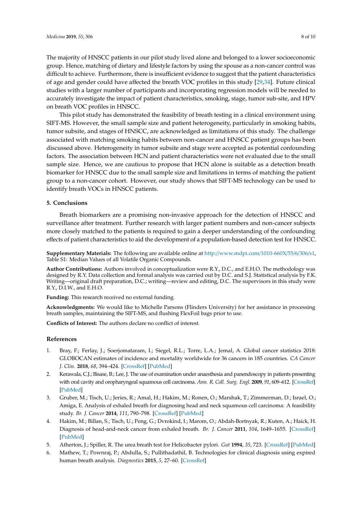The majority of HNSCC patients in our pilot study lived alone and belonged to a lower socioeconomic group. Hence, matching of dietary and lifestyle factors by using the spouse as a non-cancer control was difficult to achieve. Furthermore, there is insufficient evidence to suggest that the patient characteristics of age and gender could have affected the breath VOC profiles in this study [\[29,](#page-9-1)[34\]](#page-9-6). Future clinical studies with a larger number of participants and incorporating regression models will be needed to accurately investigate the impact of patient characteristics, smoking, stage, tumor sub-site, and HPV on breath VOC profiles in HNSCC.

This pilot study has demonstrated the feasibility of breath testing in a clinical environment using SIFT-MS. However, the small sample size and patient heterogeneity, particularly in smoking habits, tumor subsite, and stages of HNSCC, are acknowledged as limitations of this study. The challenge associated with matching smoking habits between non-cancer and HNSCC patient groups has been discussed above. Heterogeneity in tumor subsite and stage were accepted as potential confounding factors. The association between HCN and patient characteristics were not evaluated due to the small sample size. Hence, we are cautious to propose that HCN alone is suitable as a detection breath biomarker for HNSCC due to the small sample size and limitations in terms of matching the patient group to a non-cancer cohort. However, our study shows that SIFT-MS technology can be used to identify breath VOCs in HNSCC patients.

# **5. Conclusions**

Breath biomarkers are a promising non-invasive approach for the detection of HNSCC and surveillance after treatment. Further research with larger patient numbers and non-cancer subjects more closely matched to the patients is required to gain a deeper understanding of the confounding effects of patient characteristics to aid the development of a population-based detection test for HNSCC.

**Supplementary Materials:** The following are available online at http://[www.mdpi.com](http://www.mdpi.com/1010-660X/55/6/306/s1)/1010-660X/55/6/306/s1, Table S1: Median Values of all Volatile Organic Compounds.

**Author Contributions:** Authors involved in conceptualization were R.Y., D.C., and E.H.O. The methodology was designed by R.Y. Data collection and formal analysis was carried out by D.C. and S.J. Statistical analysis by F.K. Writing—original draft preparation, D.C.; writing—review and editing, D.C. The supervisors in this study were R.Y., D.I.W., and E.H.O.

**Funding:** This research received no external funding.

**Acknowledgments:** We would like to Michelle Parsons (Flinders University) for her assistance in processing breath samples, maintaining the SIFT-MS, and flushing FlexFoil bags prior to use.

**Conflicts of Interest:** The authors declare no conflict of interest.

#### **References**

- <span id="page-7-0"></span>1. Bray, F.; Ferlay, J.; Soerjomataram, I.; Siegel, R.L.; Torre, L.A.; Jemal, A. Global cancer statistics 2018: GLOBOCAN estimates of incidence and mortality worldwide for 36 cancers in 185 countries. *CA Cancer J. Clin.* **2018**, *68*, 394–424. [\[CrossRef\]](http://dx.doi.org/10.3322/caac.21492) [\[PubMed\]](http://www.ncbi.nlm.nih.gov/pubmed/30207593)
- <span id="page-7-1"></span>2. Kerawala, C.J.; Bisase, B.; Lee, J. The use of examination under anaesthesia and panendoscopy in patients presenting with oral cavity and oropharyngeal squamous cell carcinoma. *Ann. R. Coll. Surg. Engl.* **2009**, *91*, 609–612. [\[CrossRef\]](http://dx.doi.org/10.1308/003588409X432446) [\[PubMed\]](http://www.ncbi.nlm.nih.gov/pubmed/19686610)
- <span id="page-7-2"></span>3. Gruber, M.; Tisch, U.; Jeries, R.; Amal, H.; Hakim, M.; Ronen, O.; Marshak, T.; Zimmerman, D.; Israel, O.; Amiga, E. Analysis of exhaled breath for diagnosing head and neck squamous cell carcinoma: A feasibility study. *Br. J. Cancer* **2014**, *111*, 790–798. [\[CrossRef\]](http://dx.doi.org/10.1038/bjc.2014.361) [\[PubMed\]](http://www.ncbi.nlm.nih.gov/pubmed/24983369)
- <span id="page-7-3"></span>4. Hakim, M.; Billan, S.; Tisch, U.; Peng, G.; Dvrokind, I.; Marom, O.; Abdah-Bortnyak, R.; Kuten, A.; Haick, H. Diagnosis of head-and-neck cancer from exhaled breath. *Br. J. Cancer* **2011**, *104*, 1649–1655. [\[CrossRef\]](http://dx.doi.org/10.1038/bjc.2011.128) [\[PubMed\]](http://www.ncbi.nlm.nih.gov/pubmed/21505455)
- <span id="page-7-4"></span>5. Atherton, J.; Spiller, R. The urea breath test for Helicobacter pylori. *Gut* **1994**, *35*, 723. [\[CrossRef\]](http://dx.doi.org/10.1136/gut.35.6.723) [\[PubMed\]](http://www.ncbi.nlm.nih.gov/pubmed/8020791)
- <span id="page-7-5"></span>6. Mathew, T.; Pownraj, P.; Abdulla, S.; Pullithadathil, B. Technologies for clinical diagnosis using expired human breath analysis. *Diagnostics* **2015**, *5*, 27–60. [\[CrossRef\]](http://dx.doi.org/10.3390/diagnostics5010027)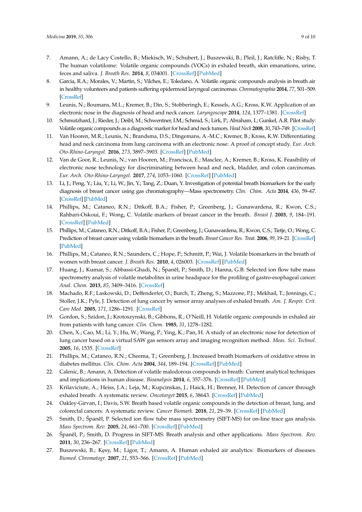- <span id="page-8-0"></span>7. Amann, A.; de Lacy Costello, B.; Miekisch, W.; Schubert, J.; Buszewski, B.; Pleil, J.; Ratcliffe, N.; Risby, T. The human volatilome: Volatile organic compounds (VOCs) in exhaled breath, skin emanations, urine, feces and saliva. *J. Breath Res.* **2014**, *8*, 034001. [\[CrossRef\]](http://dx.doi.org/10.1088/1752-7155/8/3/034001) [\[PubMed\]](http://www.ncbi.nlm.nih.gov/pubmed/24946087)
- <span id="page-8-1"></span>8. Garcia, R.A.; Morales, V.; Martin, S.; Vilches, E.; Toledano, A. Volatile organic compounds analysis in breath air in healthy volunteers and patients suffering epidermoid laryngeal carcinomas. *Chromatographia* **2014**, *77*, 501–509. [\[CrossRef\]](http://dx.doi.org/10.1007/s10337-013-2611-7)
- <span id="page-8-8"></span>9. Leunis, N.; Boumans, M.L.; Kremer, B.; Din, S.; Stobberingh, E.; Kessels, A.G.; Kross, K.W. Application of an electronic nose in the diagnosis of head and neck cancer. *Laryngoscope* **2014**, *124*, 1377–1381. [\[CrossRef\]](http://dx.doi.org/10.1002/lary.24463)
- <span id="page-8-9"></span>10. Schmutzhard, J.; Rieder, J.; Deibl, M.; Schwentner, I.M.; Schmid, S.; Lirk, P.; Abraham, I.; Gunkel, A.R. Pilot study: Volatile organic compounds as a diagnostic marker for head and neck tumors. *Head Neck* **2008**, *30*, 743–749. [\[CrossRef\]](http://dx.doi.org/10.1002/hed.20779)
- <span id="page-8-15"></span>11. Van Hooren, M.R.; Leunis, N.; Brandsma, D.S.; Dingemans, A.-M.C.; Kremer, B.; Kross, K.W. Differentiating head and neck carcinoma from lung carcinoma with an electronic nose: A proof of concept study. *Eur. Arch. Oto-Rhino-Laryngol.* **2016**, *273*, 3897–3903. [\[CrossRef\]](http://dx.doi.org/10.1007/s00405-016-4038-x) [\[PubMed\]](http://www.ncbi.nlm.nih.gov/pubmed/27083159)
- <span id="page-8-2"></span>12. Van de Goor, R.; Leunis, N.; van Hooren, M.; Francisca, E.; Masclee, A.; Kremer, B.; Kross, K. Feasibility of electronic nose technology for discriminating between head and neck, bladder, and colon carcinomas. *Eur. Arch. Oto-Rhino-Laryngol.* **2017**, *274*, 1053–1060. [\[CrossRef\]](http://dx.doi.org/10.1007/s00405-016-4320-y) [\[PubMed\]](http://www.ncbi.nlm.nih.gov/pubmed/27730323)
- <span id="page-8-3"></span>13. Li, J.; Peng, Y.; Liu, Y.; Li, W.; Jin, Y.; Tang, Z.; Duan, Y. Investigation of potential breath biomarkers for the early diagnosis of breast cancer using gas chromatography—Mass spectrometry. *Clin. Chim. Acta* **2014**, *436*, 59–67. [\[CrossRef\]](http://dx.doi.org/10.1016/j.cca.2014.04.030) [\[PubMed\]](http://www.ncbi.nlm.nih.gov/pubmed/24815034)
- 14. Phillips, M.; Cataneo, R.N.; Ditkoff, B.A.; Fisher, P.; Greenberg, J.; Gunawardena, R.; Kwon, C.S.; Rahbari-Oskoui, F.; Wong, C. Volatile markers of breast cancer in the breath. *Breast J.* **2003**, *9*, 184–191. [\[CrossRef\]](http://dx.doi.org/10.1046/j.1524-4741.2003.09309.x) [\[PubMed\]](http://www.ncbi.nlm.nih.gov/pubmed/12752626)
- 15. Phillips, M.; Cataneo, R.N.; Ditkoff, B.A.; Fisher, P.; Greenberg, J.; Gunawardena, R.; Kwon, C.S.; Tietje, O.; Wong, C. Prediction of breast cancer using volatile biomarkers in the breath. *Breast Cancer Res. Treat.* **2006**, *99*, 19–21. [\[CrossRef\]](http://dx.doi.org/10.1007/s10549-006-9176-1) [\[PubMed\]](http://www.ncbi.nlm.nih.gov/pubmed/16502014)
- <span id="page-8-4"></span>16. Phillips, M.; Cataneo, R.N.; Saunders, C.; Hope, P.; Schmitt, P.; Wai, J. Volatile biomarkers in the breath of women with breast cancer. *J. Breath Res.* **2010**, *4*, 026003. [\[CrossRef\]](http://dx.doi.org/10.1088/1752-7155/4/2/026003) [\[PubMed\]](http://www.ncbi.nlm.nih.gov/pubmed/21383471)
- <span id="page-8-5"></span>17. Huang, J.; Kumar, S.; Abbassi-Ghadi, N.; Španěl, P.; Smith, D.; Hanna, G.B. Selected ion flow tube mass spectrometry analysis of volatile metabolites in urine headspace for the profiling of gastro-esophageal cancer. *Anal. Chem.* **2013**, *85*, 3409–3416. [\[CrossRef\]](http://dx.doi.org/10.1021/ac4000656)
- <span id="page-8-6"></span>18. Machado, R.F.; Laskowski, D.; Deffenderfer, O.; Burch, T.; Zheng, S.; Mazzone, P.J.; Mekhail, T.; Jennings, C.; Stoller, J.K.; Pyle, J. Detection of lung cancer by sensor array analyses of exhaled breath. *Am. J. Respir. Crit. Care Med.* **2005**, *171*, 1286–1291. [\[CrossRef\]](http://dx.doi.org/10.1164/rccm.200409-1184OC)
- 19. Gordon, S.; Szidon, J.; Krotoszynski, B.; Gibbons, R.; O'Neill, H. Volatile organic compounds in exhaled air from patients with lung cancer. *Clin. Chem.* **1985**, *31*, 1278–1282.
- <span id="page-8-7"></span>20. Chen, X.; Cao, M.; Li, Y.; Hu, W.; Wang, P.; Ying, K.; Pan, H. A study of an electronic nose for detection of lung cancer based on a virtual SAW gas sensors array and imaging recognition method. *Meas. Sci. Technol.* **2005**, *16*, 1535. [\[CrossRef\]](http://dx.doi.org/10.1088/0957-0233/16/8/001)
- <span id="page-8-10"></span>21. Phillips, M.; Cataneo, R.N.; Cheema, T.; Greenberg, J. Increased breath biomarkers of oxidative stress in diabetes mellitus. *Clin. Chim. Acta* **2004**, *344*, 189–194. [\[CrossRef\]](http://dx.doi.org/10.1016/j.cccn.2004.02.025) [\[PubMed\]](http://www.ncbi.nlm.nih.gov/pubmed/15149888)
- <span id="page-8-11"></span>22. Calenic, B.; Amann, A. Detection of volatile malodorous compounds in breath: Current analytical techniques and implications in human disease. *Bioanalysis* **2014**, *6*, 357–376. [\[CrossRef\]](http://dx.doi.org/10.4155/bio.13.306) [\[PubMed\]](http://www.ncbi.nlm.nih.gov/pubmed/24471956)
- <span id="page-8-17"></span>23. Krilaviciute, A.; Heiss, J.A.; Leja, M.; Kupcinskas, J.; Haick, H.; Brenner, H. Detection of cancer through exhaled breath: A systematic review. *Oncotarget* **2015**, *6*, 38643. [\[CrossRef\]](http://dx.doi.org/10.18632/oncotarget.5938) [\[PubMed\]](http://www.ncbi.nlm.nih.gov/pubmed/26440312)
- <span id="page-8-12"></span>24. Oakley-Girvan, I.; Davis, S.W. Breath based volatile organic compounds in the detection of breast, lung, and colorectal cancers: A systematic review. *Cancer Biomark.* **2018**, *21*, 29–39. [\[CrossRef\]](http://dx.doi.org/10.3233/CBM-170177) [\[PubMed\]](http://www.ncbi.nlm.nih.gov/pubmed/29060925)
- <span id="page-8-13"></span>25. Smith, D.; Španěl, P. Selected ion flow tube mass spectrometry (SIFT-MS) for on-line trace gas analysis. *Mass Spectrom. Rev.* **2005**, *24*, 661–700. [\[CrossRef\]](http://dx.doi.org/10.1002/mas.20033) [\[PubMed\]](http://www.ncbi.nlm.nih.gov/pubmed/15495143)
- <span id="page-8-14"></span>26. Španěl, P.; Smith, D. Progress in SIFT-MS: Breath analysis and other applications. *Mass Spectrom. Rev.* **2011**, *30*, 236–267. [\[CrossRef\]](http://dx.doi.org/10.1002/mas.20303) [\[PubMed\]](http://www.ncbi.nlm.nih.gov/pubmed/20648679)
- <span id="page-8-16"></span>27. Buszewski, B.; Kesy, M.; Ligor, T.; Amann, A. Human exhaled air analytics: Biomarkers of diseases. *Biomed. Chromatogr.* **2007**, *21*, 553–566. [\[CrossRef\]](http://dx.doi.org/10.1002/bmc.835) [\[PubMed\]](http://www.ncbi.nlm.nih.gov/pubmed/17431933)